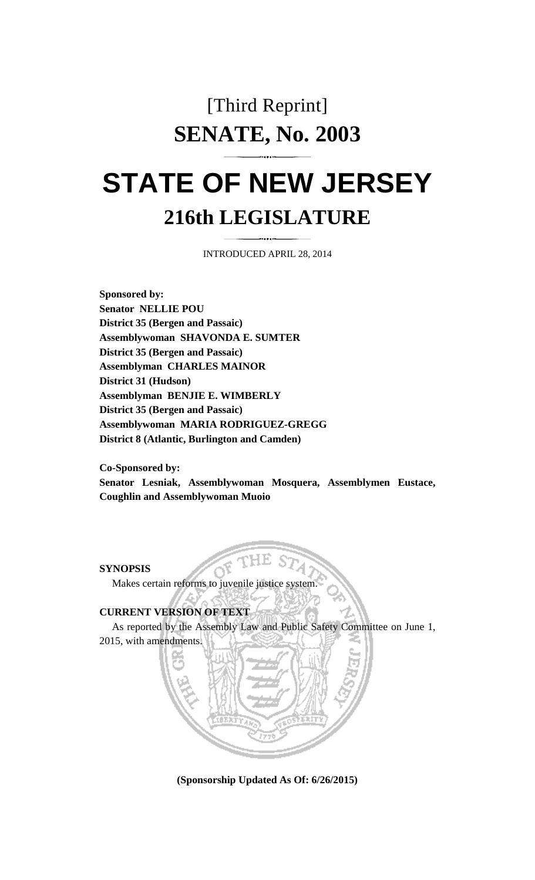## [Third Reprint] **SENATE, No. 2003**

# **STATE OF NEW JERSEY 216th LEGISLATURE**

INTRODUCED APRIL 28, 2014

**Sponsored by: Senator NELLIE POU District 35 (Bergen and Passaic) Assemblywoman SHAVONDA E. SUMTER District 35 (Bergen and Passaic) Assemblyman CHARLES MAINOR District 31 (Hudson) Assemblyman BENJIE E. WIMBERLY District 35 (Bergen and Passaic) Assemblywoman MARIA RODRIGUEZ-GREGG District 8 (Atlantic, Burlington and Camden)** 

**Co-Sponsored by: Senator Lesniak, Assemblywoman Mosquera, Assemblymen Eustace, Coughlin and Assemblywoman Muoio** 

#### **SYNOPSIS**

Makes certain reforms to juvenile justice system.

#### **CURRENT VERSION OF TEXT**

 As reported by the Assembly Law and Public Safety Committee on June 1, 2015, with amendments.



**(Sponsorship Updated As Of: 6/26/2015)**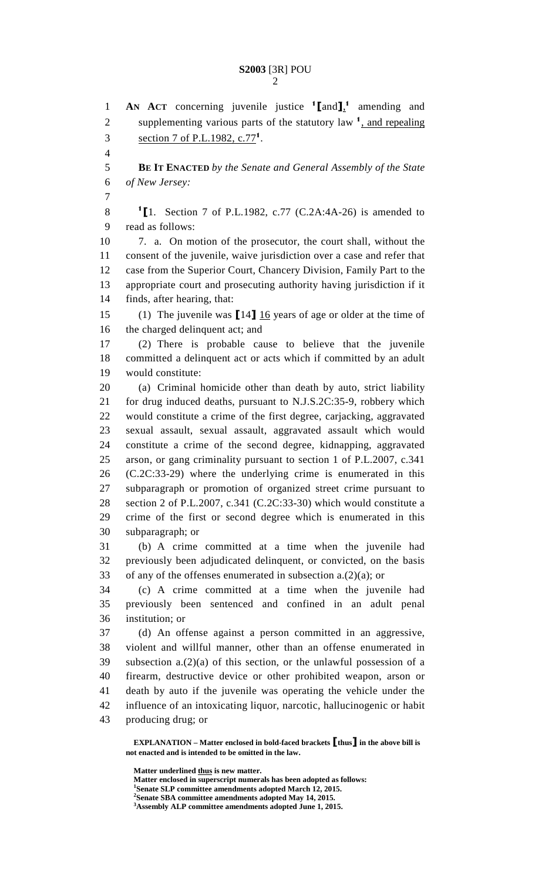2

1 AN ACT concerning juvenile justice  $\text{I}$  and  $\text{I}$ , amending and 2 supplementing various parts of the statutory law <sup>1</sup>, and repealing 3 section 7 of P.L.1982,  $c.77<sup>1</sup>$ . 4 5 **BE IT ENACTED** *by the Senate and General Assembly of the State*  6 *of New Jersey:* 7 8  $\text{I}$  [1. Section 7 of P.L.1982, c.77 (C.2A:4A-26) is amended to 9 read as follows: 10 7. a. On motion of the prosecutor, the court shall, without the 11 consent of the juvenile, waive jurisdiction over a case and refer that 12 case from the Superior Court, Chancery Division, Family Part to the 13 appropriate court and prosecuting authority having jurisdiction if it 14 finds, after hearing, that: 15 (1) The juvenile was  $[14]$  16 years of age or older at the time of 16 the charged delinquent act; and 17 (2) There is probable cause to believe that the juvenile 18 committed a delinquent act or acts which if committed by an adult 19 would constitute: 20 (a) Criminal homicide other than death by auto, strict liability 21 for drug induced deaths, pursuant to N.J.S.2C:35-9, robbery which 22 would constitute a crime of the first degree, carjacking, aggravated 23 sexual assault, sexual assault, aggravated assault which would 24 constitute a crime of the second degree, kidnapping, aggravated 25 arson, or gang criminality pursuant to section 1 of P.L.2007, c.341 26 (C.2C:33-29) where the underlying crime is enumerated in this 27 subparagraph or promotion of organized street crime pursuant to 28 section 2 of P.L.2007, c.341 (C.2C:33-30) which would constitute a 29 crime of the first or second degree which is enumerated in this 30 subparagraph; or 31 (b) A crime committed at a time when the juvenile had 32 previously been adjudicated delinquent, or convicted, on the basis 33 of any of the offenses enumerated in subsection a.(2)(a); or 34 (c) A crime committed at a time when the juvenile had 35 previously been sentenced and confined in an adult penal 36 institution; or 37 (d) An offense against a person committed in an aggressive, 38 violent and willful manner, other than an offense enumerated in 39 subsection  $a(2)(a)$  of this section, or the unlawful possession of a 40 firearm, destructive device or other prohibited weapon, arson or 41 death by auto if the juvenile was operating the vehicle under the 42 influence of an intoxicating liquor, narcotic, hallucinogenic or habit 43 producing drug; or

 **EXPLANATION – Matter enclosed in bold-faced brackets** [**thus**] **in the above bill is not enacted and is intended to be omitted in the law.** 

**Matter underlined thus is new matter.** 

 **Matter enclosed in superscript numerals has been adopted as follows: 1**

**Senate SLP committee amendments adopted March 12, 2015.** 

**2 Senate SBA committee amendments adopted May 14, 2015.** 

**<sup>3</sup> Assembly ALP committee amendments adopted June 1, 2015.**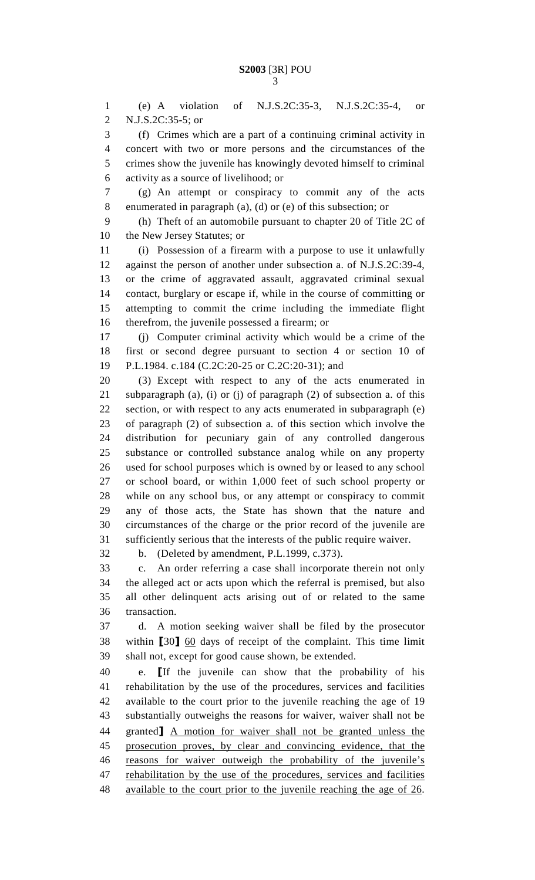1 (e) A violation of N.J.S.2C:35-3, N.J.S.2C:35-4, or 2 N.J.S.2C:35-5; or 3 (f) Crimes which are a part of a continuing criminal activity in 4 concert with two or more persons and the circumstances of the 5 crimes show the juvenile has knowingly devoted himself to criminal 6 activity as a source of livelihood; or 7 (g) An attempt or conspiracy to commit any of the acts 8 enumerated in paragraph (a), (d) or (e) of this subsection; or 9 (h) Theft of an automobile pursuant to chapter 20 of Title 2C of 10 the New Jersey Statutes; or 11 (i) Possession of a firearm with a purpose to use it unlawfully 12 against the person of another under subsection a. of N.J.S.2C:39-4, 13 or the crime of aggravated assault, aggravated criminal sexual 14 contact, burglary or escape if, while in the course of committing or 15 attempting to commit the crime including the immediate flight 16 therefrom, the juvenile possessed a firearm; or 17 (j) Computer criminal activity which would be a crime of the 18 first or second degree pursuant to section 4 or section 10 of 19 P.L.1984. c.184 (C.2C:20-25 or C.2C:20-31); and 20 (3) Except with respect to any of the acts enumerated in

21 subparagraph (a), (i) or (j) of paragraph (2) of subsection a. of this 22 section, or with respect to any acts enumerated in subparagraph (e) 23 of paragraph (2) of subsection a. of this section which involve the 24 distribution for pecuniary gain of any controlled dangerous 25 substance or controlled substance analog while on any property 26 used for school purposes which is owned by or leased to any school 27 or school board, or within 1,000 feet of such school property or 28 while on any school bus, or any attempt or conspiracy to commit 29 any of those acts, the State has shown that the nature and 30 circumstances of the charge or the prior record of the juvenile are 31 sufficiently serious that the interests of the public require waiver.

32 b. (Deleted by amendment, P.L.1999, c.373).

33 c. An order referring a case shall incorporate therein not only 34 the alleged act or acts upon which the referral is premised, but also 35 all other delinquent acts arising out of or related to the same 36 transaction.

37 d. A motion seeking waiver shall be filed by the prosecutor 38 within [30] 60 days of receipt of the complaint. This time limit 39 shall not, except for good cause shown, be extended.

40 e. [If the juvenile can show that the probability of his 41 rehabilitation by the use of the procedures, services and facilities 42 available to the court prior to the juvenile reaching the age of 19 43 substantially outweighs the reasons for waiver, waiver shall not be 44 granted] A motion for waiver shall not be granted unless the 45 prosecution proves, by clear and convincing evidence, that the 46 reasons for waiver outweigh the probability of the juvenile's 47 rehabilitation by the use of the procedures, services and facilities 48 available to the court prior to the juvenile reaching the age of 26.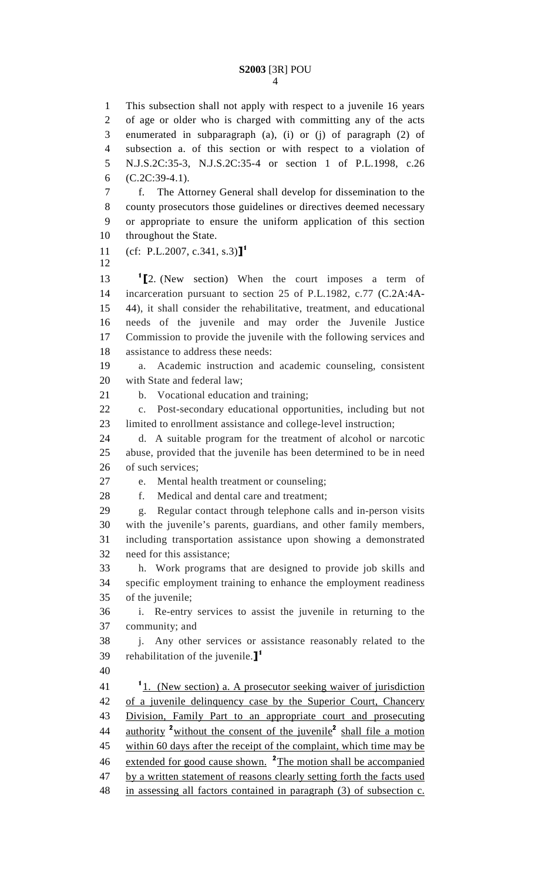1 This subsection shall not apply with respect to a juvenile 16 years 2 of age or older who is charged with committing any of the acts 3 enumerated in subparagraph (a), (i) or (j) of paragraph (2) of 4 subsection a. of this section or with respect to a violation of 5 N.J.S.2C:35-3, N.J.S.2C:35-4 or section 1 of P.L.1998, c.26 6 (C.2C:39-4.1). 7 f. The Attorney General shall develop for dissemination to the 8 county prosecutors those guidelines or directives deemed necessary 9 or appropriate to ensure the uniform application of this section 10 throughout the State. 11 (cf: P.L.2007, c.341, s.3)<sup>1</sup> 12 13  $\frac{1}{2}$ . (New section) When the court imposes a term of 14 incarceration pursuant to section 25 of P.L.1982, c.77 (C.2A:4A-15 44), it shall consider the rehabilitative, treatment, and educational 16 needs of the juvenile and may order the Juvenile Justice 17 Commission to provide the juvenile with the following services and 18 assistance to address these needs: 19 a. Academic instruction and academic counseling, consistent 20 with State and federal law; 21 b. Vocational education and training; 22 c. Post-secondary educational opportunities, including but not 23 limited to enrollment assistance and college-level instruction; 24 d. A suitable program for the treatment of alcohol or narcotic 25 abuse, provided that the juvenile has been determined to be in need 26 of such services; 27 e. Mental health treatment or counseling; 28 f. Medical and dental care and treatment: 29 g. Regular contact through telephone calls and in-person visits 30 with the juvenile's parents, guardians, and other family members, 31 including transportation assistance upon showing a demonstrated 32 need for this assistance; 33 h. Work programs that are designed to provide job skills and 34 specific employment training to enhance the employment readiness 35 of the juvenile; 36 i. Re-entry services to assist the juvenile in returning to the 37 community; and 38 j. Any other services or assistance reasonably related to the 39 rehabilitation of the juvenile. $\mathbf{I}^1$ 40  $11$   $1.$  (New section) a. A prosecutor seeking waiver of jurisdiction 42 of a juvenile delinquency case by the Superior Court, Chancery 43 Division, Family Part to an appropriate court and prosecuting 44 authority <sup>2</sup> without the consent of the juvenile<sup>2</sup> shall file a motion 45 within 60 days after the receipt of the complaint, which time may be 46 extended for good cause shown.  $2$ The motion shall be accompanied 47 by a written statement of reasons clearly setting forth the facts used 48 in assessing all factors contained in paragraph (3) of subsection c.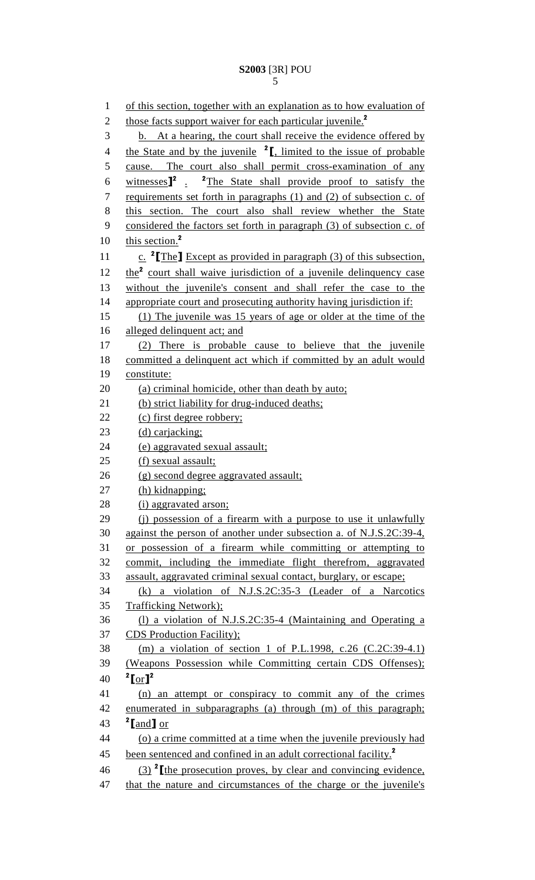1 of this section, together with an explanation as to how evaluation of 2 those facts support waiver for each particular juvenile.<sup>2</sup> 3 b. At a hearing, the court shall receive the evidence offered by 4 the State and by the juvenile  $2\pi$ , limited to the issue of probable 5 cause. The court also shall permit cross-examination of any 6 witnesses<sup> $^2$ </sup>  $^2$ . <sup>2</sup>The State shall provide proof to satisfy the 7 requirements set forth in paragraphs (1) and (2) of subsection c. of 8 this section. The court also shall review whether the State 9 considered the factors set forth in paragraph (3) of subsection c. of 10 this section. $2$ 11  $\therefore$  <sup>2</sup> The Except as provided in paragraph (3) of this subsection, 12 the<sup>2</sup> court shall waive jurisdiction of a juvenile delinquency case 13 without the juvenile's consent and shall refer the case to the 14 appropriate court and prosecuting authority having jurisdiction if: 15 (1) The juvenile was 15 years of age or older at the time of the 16 alleged delinquent act; and 17 (2) There is probable cause to believe that the juvenile 18 committed a delinquent act which if committed by an adult would 19 constitute: 20 (a) criminal homicide, other than death by auto; 21 (b) strict liability for drug-induced deaths; 22 (c) first degree robbery; 23 (d) carjacking; 24 (e) aggravated sexual assault; 25 (f) sexual assault; 26 (g) second degree aggravated assault; 27 (h) kidnapping; 28 (i) aggravated arson; 29 (j) possession of a firearm with a purpose to use it unlawfully 30 against the person of another under subsection a. of N.J.S.2C:39-4, 31 or possession of a firearm while committing or attempting to 32 commit, including the immediate flight therefrom, aggravated 33 assault, aggravated criminal sexual contact, burglary, or escape; 34 (k) a violation of N.J.S.2C:35-3 (Leader of a Narcotics 35 Trafficking Network); 36 (l) a violation of N.J.S.2C:35-4 (Maintaining and Operating a 37 CDS Production Facility); 38 (m) a violation of section 1 of P.L.1998, c.26 (C.2C:39-4.1) (Weapons Possession while Committing certain CDS Offenses); 39 40  $^2$  [or]<sup>2</sup> 41 (n) an attempt or conspiracy to commit any of the crimes 42 enumerated in subparagraphs (a) through (m) of this paragraph; 43  $\frac{2 \text{rad}}{\text{2}}$  or 44 (o) a crime committed at a time when the juvenile previously had 45 been sentenced and confined in an adult correctional facility.<sup>2</sup> 46  $\left(3\right)^2$  [the prosecution proves, by clear and convincing evidence, 47 that the nature and circumstances of the charge or the juvenile's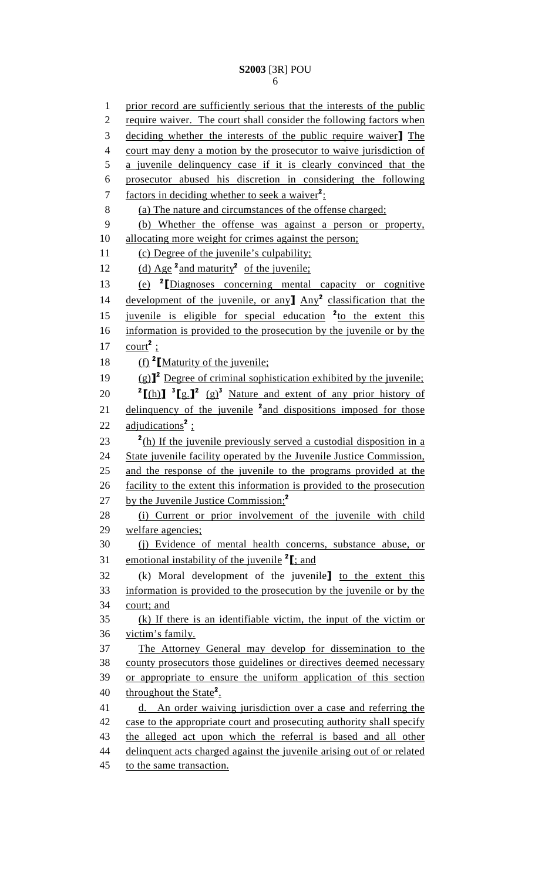1 prior record are sufficiently serious that the interests of the public 2 require waiver. The court shall consider the following factors when 3 deciding whether the interests of the public require waiver] The 4 court may deny a motion by the prosecutor to waive jurisdiction of 5 a juvenile delinquency case if it is clearly convinced that the 6 prosecutor abused his discretion in considering the following 7 factors in deciding whether to seek a waiver<sup>2</sup>: 8 (a) The nature and circumstances of the offense charged; 9 (b) Whether the offense was against a person or property, 10 allocating more weight for crimes against the person; 11 (c) Degree of the juvenile's culpability; 12 (d) Age  $^2$  and maturity<sup>2</sup> of the juvenile;  $(13)$   $(e)$  <sup>2</sup> [Diagnoses concerning mental capacity or cognitive 14 development of the juvenile, or any<sup> $\frac{1}{2}$ </sup> Any<sup> $\frac{2}{3}$ </sup> classification that the 15 juvenile is eligible for special education  $2$  to the extent this 16 information is provided to the prosecution by the juvenile or by the 17  $\frac{\text{count}^2}{\text{...}}$ 18  $(f)$ <sup>2</sup> [Maturity of the juvenile; 19  $(g)$ <sup>2</sup> Degree of criminal sophistication exhibited by the juvenile; 20  ${}^{2}$ [(h)]  ${}^{3}$ [g.]<sup>2</sup> (g)<sup>3</sup> Nature and extent of any prior history of 21 delinquency of the juvenile <sup>2</sup> and dispositions imposed for those 22  $\alpha$  adjudications<sup>2</sup>;  $23 \frac{\text{a}}{\text{h}}$  If the juvenile previously served a custodial disposition in a 24 State juvenile facility operated by the Juvenile Justice Commission, 25 and the response of the juvenile to the programs provided at the 26 facility to the extent this information is provided to the prosecution 27 by the Juvenile Justice Commission;<sup>2</sup> 28 (i) Current or prior involvement of the juvenile with child 29 welfare agencies; 30 (j) Evidence of mental health concerns, substance abuse, or 31 emotional instability of the juvenile  $2\frac{r}{2}$ ; and 32 (k) Moral development of the juvenile] to the extent this 33 information is provided to the prosecution by the juvenile or by the 34 court; and 35 (k) If there is an identifiable victim, the input of the victim or 36 victim's family. 37 The Attorney General may develop for dissemination to the 38 county prosecutors those guidelines or directives deemed necessary 39 or appropriate to ensure the uniform application of this section 40 throughout the State<sup>2</sup>. 41 d. An order waiving jurisdiction over a case and referring the 42 case to the appropriate court and prosecuting authority shall specify 43 the alleged act upon which the referral is based and all other 44 delinquent acts charged against the juvenile arising out of or related 45 to the same transaction.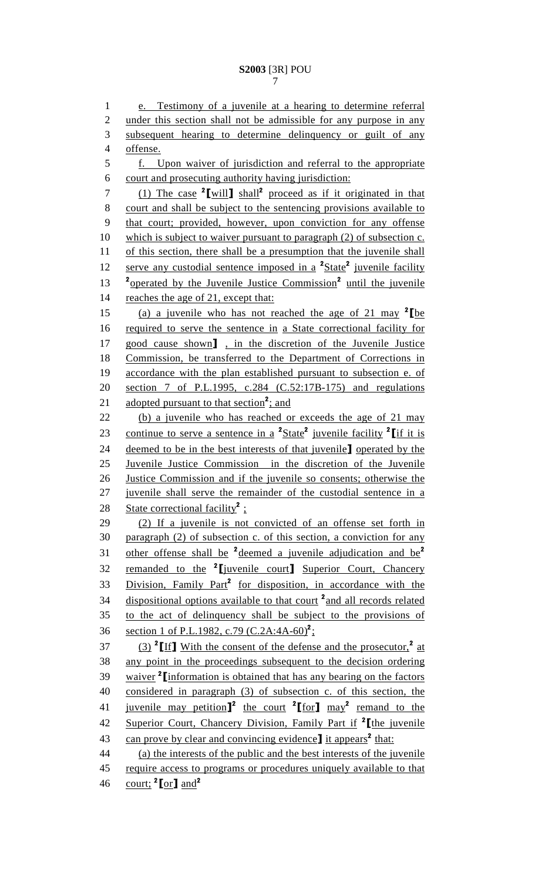1 e. Testimony of a juvenile at a hearing to determine referral 2 under this section shall not be admissible for any purpose in any 3 subsequent hearing to determine delinquency or guilt of any 4 offense. 5 f. Upon waiver of jurisdiction and referral to the appropriate 6 court and prosecuting authority having jurisdiction: (1) The case  $2$ [will] shall<sup>2</sup> proceed as if it originated in that 8 court and shall be subject to the sentencing provisions available to 9 that court; provided, however, upon conviction for any offense 10 which is subject to waiver pursuant to paragraph (2) of subsection c. 11 of this section, there shall be a presumption that the juvenile shall 12 serve any custodial sentence imposed in a <sup>2</sup>State<sup>2</sup> juvenile facility <sup>2</sup> operated by the Juvenile Justice Commission<sup>2</sup> until the juvenile 14 reaches the age of 21, except that: 15 (a) a juvenile who has not reached the age of 21 may  $2$  [be 16 required to serve the sentence in a State correctional facility for 17 good cause shown], in the discretion of the Juvenile Justice 18 Commission, be transferred to the Department of Corrections in 19 accordance with the plan established pursuant to subsection e. of 20 section 7 of P.L.1995, c.284 (C.52:17B-175) and regulations 21 adopted pursuant to that section<sup>2</sup>; and 22 (b) a juvenile who has reached or exceeds the age of 21 may 23 continue to serve a sentence in a  ${}^{2}$ State<sup>2</sup> juvenile facility  ${}^{2}$  [if it is 24 deemed to be in the best interests of that juvenile] operated by the 25 Juvenile Justice Commission in the discretion of the Juvenile 26 Justice Commission and if the juvenile so consents; otherwise the 27 juvenile shall serve the remainder of the custodial sentence in a 28 State correctional facility<sup>2</sup>: 29 (2) If a juvenile is not convicted of an offense set forth in 30 paragraph (2) of subsection c. of this section, a conviction for any 31 other offense shall be <sup>2</sup>deemed a juvenile adjudication and be<sup>2</sup> 32 remanded to the  $2$ [juvenile court] Superior Court, Chancery 33 Division, Family Part<sup>2</sup> for disposition, in accordance with the 34 dispositional options available to that court <sup>2</sup> and all records related 35 to the act of delinquency shall be subject to the provisions of 36 section 1 of P.L.1982, c.79  $(C.2A:4A-60)^2$ ; 37  $(3)$  <sup>2</sup> [If] With the consent of the defense and the prosecutor,<sup>2</sup> at 38 any point in the proceedings subsequent to the decision ordering 39 waiver<sup>2</sup> Linformation is obtained that has any bearing on the factors 40 considered in paragraph (3) of subsection c. of this section, the 41 juvenile may petition<sup>1</sup> the court <sup>2</sup>[for] may<sup>2</sup> remand to the 42 Superior Court, Chancery Division, Family Part if <sup>2</sup> [the juvenile 43 can prove by clear and convincing evidence  $\int$  it appears<sup>2</sup> that: 44 (a) the interests of the public and the best interests of the juvenile 45 require access to programs or procedures uniquely available to that 46 court;  $^{2}$ [or] and<sup>2</sup>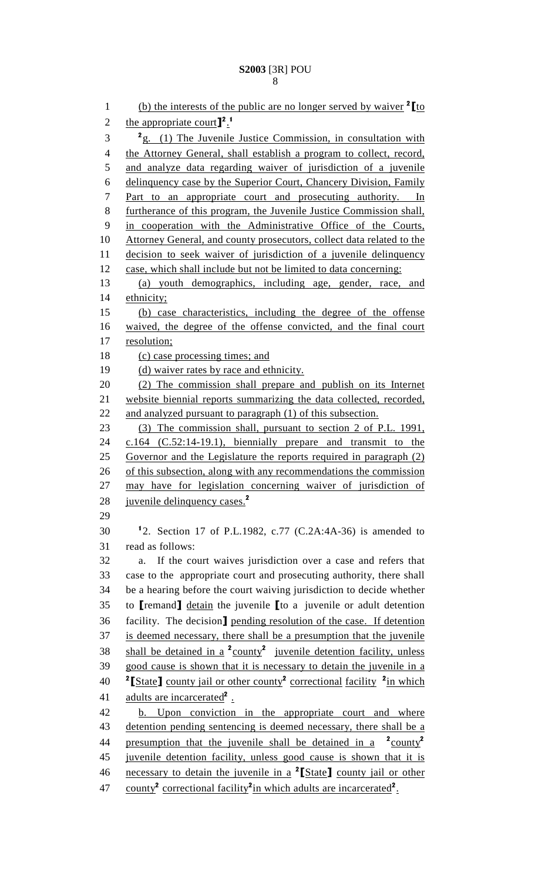(b) the interests of the public are no longer served by waiver  $2 \text{ [to]}$ 2 the appropriate court  $\mathbf{I}^{2,1}$ <sup>2</sup>g. (1) The Juvenile Justice Commission, in consultation with 4 the Attorney General, shall establish a program to collect, record, 5 and analyze data regarding waiver of jurisdiction of a juvenile 6 delinquency case by the Superior Court, Chancery Division, Family 7 Part to an appropriate court and prosecuting authority. In 8 furtherance of this program, the Juvenile Justice Commission shall, 9 in cooperation with the Administrative Office of the Courts, 10 Attorney General, and county prosecutors, collect data related to the 11 decision to seek waiver of jurisdiction of a juvenile delinquency 12 case, which shall include but not be limited to data concerning: 13 (a) youth demographics, including age, gender, race, and 14 ethnicity; 15 (b) case characteristics, including the degree of the offense 16 waived, the degree of the offense convicted, and the final court 17 resolution; 18 (c) case processing times; and 19 (d) waiver rates by race and ethnicity. 20 (2) The commission shall prepare and publish on its Internet 21 website biennial reports summarizing the data collected, recorded, 22 and analyzed pursuant to paragraph (1) of this subsection. 23 (3) The commission shall, pursuant to section 2 of P.L. 1991, 24 c.164 (C.52:14-19.1), biennially prepare and transmit to the 25 Governor and the Legislature the reports required in paragraph (2) 26 of this subsection, along with any recommendations the commission 27 may have for legislation concerning waiver of jurisdiction of 28 juvenile delinquency cases. $<sup>2</sup>$ </sup> 29 30 <sup>1</sup>2. Section 17 of P.L.1982, c.77 (C.2A:4A-36) is amended to 31 read as follows: 32 a. If the court waives jurisdiction over a case and refers that 33 case to the appropriate court and prosecuting authority, there shall 34 be a hearing before the court waiving jurisdiction to decide whether 35 to [remand] detain the juvenile [to a juvenile or adult detention 36 facility. The decision] pending resolution of the case. If detention 37 is deemed necessary, there shall be a presumption that the juvenile 38 shall be detained in a <sup>2</sup>county<sup>2</sup> juvenile detention facility, unless good cause is shown that it is necessary to detain the juvenile in a 40  $\mathrm{^{2}I}\$ State] county jail or other county<sup>2</sup> correctional facility  $\mathrm{^{2}in}$  which 41 adults are incarcerated<sup>2</sup>. 42 b. Upon conviction in the appropriate court and where 43 detention pending sentencing is deemed necessary, there shall be a 44 presumption that the juvenile shall be detained in a <sup>2</sup>county<sup>2</sup> 45 juvenile detention facility, unless good cause is shown that it is 46 necessary to detain the juvenile in a  $2$ [State] county jail or other 47 county<sup>2</sup> correctional facility<sup>2</sup> in which adults are incarcerated<sup>2</sup>.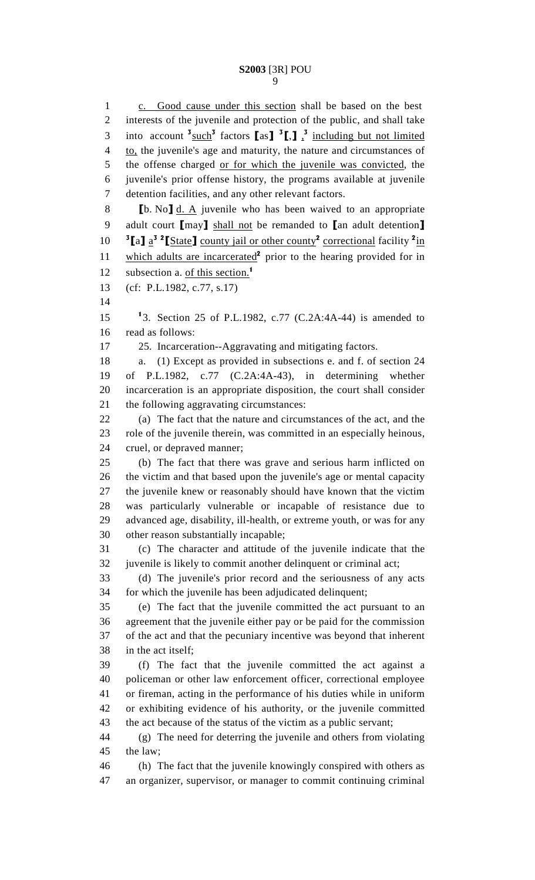1 c. Good cause under this section shall be based on the best 2 interests of the juvenile and protection of the public, and shall take 3 into account  $3 \cdot 3$  factors [as]  $3$ [,]  $\frac{3}{4}$  including but not limited 4 to, the juvenile's age and maturity, the nature and circumstances of 5 the offense charged or for which the juvenile was convicted, the 6 juvenile's prior offense history, the programs available at juvenile 7 detention facilities, and any other relevant factors. 8 **[b. No] d. A juvenile who has been waived to an appropriate** 9 adult court [may] shall not be remanded to [an adult detention] 10  $\frac{3}{2}$  [a]  $\frac{3}{2}$  <sup>3</sup> [State] county jail or other county<sup>2</sup> correctional facility <sup>2</sup> in 11 which adults are incarcerated<sup>2</sup> prior to the hearing provided for in 12 subsection a. of this section.<sup>1</sup> 13 (cf: P.L.1982, c.77, s.17) 14 15  $\frac{1}{3}$ . Section 25 of P.L.1982, c.77 (C.2A:4A-44) is amended to 16 read as follows: 17 25. Incarceration--Aggravating and mitigating factors. 18 a. (1) Except as provided in subsections e. and f. of section 24 19 of P.L.1982, c.77 (C.2A:4A-43), in determining whether 20 incarceration is an appropriate disposition, the court shall consider 21 the following aggravating circumstances: 22 (a) The fact that the nature and circumstances of the act, and the 23 role of the juvenile therein, was committed in an especially heinous, 24 cruel, or depraved manner; 25 (b) The fact that there was grave and serious harm inflicted on 26 the victim and that based upon the juvenile's age or mental capacity 27 the juvenile knew or reasonably should have known that the victim 28 was particularly vulnerable or incapable of resistance due to 29 advanced age, disability, ill-health, or extreme youth, or was for any 30 other reason substantially incapable; 31 (c) The character and attitude of the juvenile indicate that the 32 juvenile is likely to commit another delinquent or criminal act; 33 (d) The juvenile's prior record and the seriousness of any acts 34 for which the juvenile has been adjudicated delinquent; 35 (e) The fact that the juvenile committed the act pursuant to an 36 agreement that the juvenile either pay or be paid for the commission 37 of the act and that the pecuniary incentive was beyond that inherent 38 in the act itself; 39 (f) The fact that the juvenile committed the act against a 40 policeman or other law enforcement officer, correctional employee 41 or fireman, acting in the performance of his duties while in uniform 42 or exhibiting evidence of his authority, or the juvenile committed 43 the act because of the status of the victim as a public servant; 44 (g) The need for deterring the juvenile and others from violating 45 the law; 46 (h) The fact that the juvenile knowingly conspired with others as 47 an organizer, supervisor, or manager to commit continuing criminal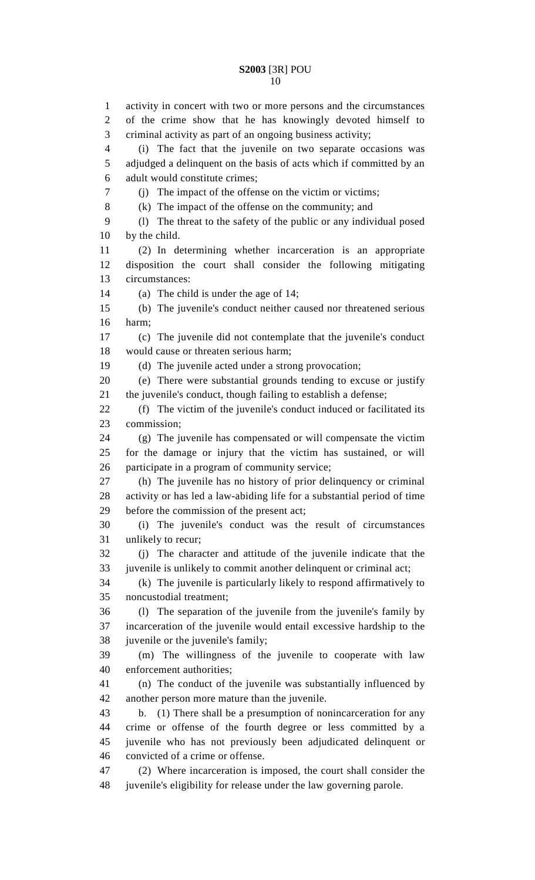1 activity in concert with two or more persons and the circumstances 2 of the crime show that he has knowingly devoted himself to 3 criminal activity as part of an ongoing business activity; 4 (i) The fact that the juvenile on two separate occasions was 5 adjudged a delinquent on the basis of acts which if committed by an 6 adult would constitute crimes; 7 (j) The impact of the offense on the victim or victims; 8 (k) The impact of the offense on the community; and 9 (l) The threat to the safety of the public or any individual posed 10 by the child. 11 (2) In determining whether incarceration is an appropriate 12 disposition the court shall consider the following mitigating 13 circumstances: 14 (a) The child is under the age of 14; 15 (b) The juvenile's conduct neither caused nor threatened serious 16 harm; 17 (c) The juvenile did not contemplate that the juvenile's conduct 18 would cause or threaten serious harm; 19 (d) The juvenile acted under a strong provocation; 20 (e) There were substantial grounds tending to excuse or justify 21 the juvenile's conduct, though failing to establish a defense; 22 (f) The victim of the juvenile's conduct induced or facilitated its 23 commission; 24 (g) The juvenile has compensated or will compensate the victim 25 for the damage or injury that the victim has sustained, or will 26 participate in a program of community service; 27 (h) The juvenile has no history of prior delinquency or criminal 28 activity or has led a law-abiding life for a substantial period of time 29 before the commission of the present act; 30 (i) The juvenile's conduct was the result of circumstances 31 unlikely to recur; 32 (j) The character and attitude of the juvenile indicate that the 33 juvenile is unlikely to commit another delinquent or criminal act; 34 (k) The juvenile is particularly likely to respond affirmatively to 35 noncustodial treatment; 36 (l) The separation of the juvenile from the juvenile's family by 37 incarceration of the juvenile would entail excessive hardship to the 38 juvenile or the juvenile's family; 39 (m) The willingness of the juvenile to cooperate with law 40 enforcement authorities; 41 (n) The conduct of the juvenile was substantially influenced by 42 another person more mature than the juvenile. 43 b. (1) There shall be a presumption of nonincarceration for any 44 crime or offense of the fourth degree or less committed by a 45 juvenile who has not previously been adjudicated delinquent or 46 convicted of a crime or offense. 47 (2) Where incarceration is imposed, the court shall consider the 48 juvenile's eligibility for release under the law governing parole.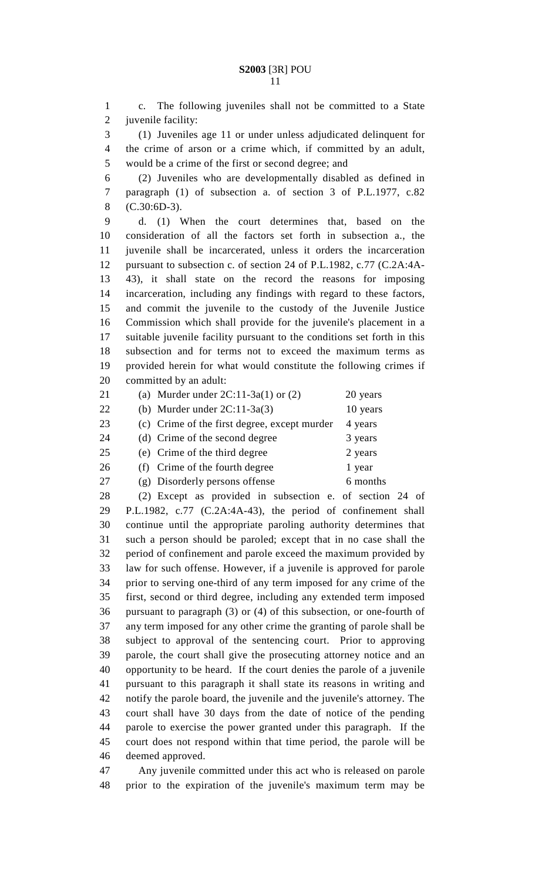1 c. The following juveniles shall not be committed to a State 2 juvenile facility: 3 (1) Juveniles age 11 or under unless adjudicated delinquent for 4 the crime of arson or a crime which, if committed by an adult, 5 would be a crime of the first or second degree; and 6 (2) Juveniles who are developmentally disabled as defined in 7 paragraph (1) of subsection a. of section 3 of P.L.1977, c.82 8 (C.30:6D-3). 9 d. (1) When the court determines that, based on the 10 consideration of all the factors set forth in subsection a., the 11 juvenile shall be incarcerated, unless it orders the incarceration 12 pursuant to subsection c. of section 24 of P.L.1982, c.77 (C.2A:4A-13 43), it shall state on the record the reasons for imposing 14 incarceration, including any findings with regard to these factors, 15 and commit the juvenile to the custody of the Juvenile Justice 16 Commission which shall provide for the juvenile's placement in a 17 suitable juvenile facility pursuant to the conditions set forth in this 18 subsection and for terms not to exceed the maximum terms as 19 provided herein for what would constitute the following crimes if 20 committed by an adult: 21 (a) Murder under  $2C:11-3a(1)$  or  $(2)$  20 years 22 (b) Murder under  $2C:11-3a(3)$  10 years 23 (c) Crime of the first degree, except murder 4 years 24 (d) Crime of the second degree 3 years 25 (e) Crime of the third degree 2 years 26 (f) Crime of the fourth degree 1 year 27 (g) Disorderly persons offense 6 months 28 (2) Except as provided in subsection e. of section 24 of

29 P.L.1982, c.77 (C.2A:4A-43), the period of confinement shall 30 continue until the appropriate paroling authority determines that 31 such a person should be paroled; except that in no case shall the 32 period of confinement and parole exceed the maximum provided by 33 law for such offense. However, if a juvenile is approved for parole 34 prior to serving one-third of any term imposed for any crime of the 35 first, second or third degree, including any extended term imposed 36 pursuant to paragraph (3) or (4) of this subsection, or one-fourth of 37 any term imposed for any other crime the granting of parole shall be 38 subject to approval of the sentencing court. Prior to approving 39 parole, the court shall give the prosecuting attorney notice and an 40 opportunity to be heard. If the court denies the parole of a juvenile 41 pursuant to this paragraph it shall state its reasons in writing and 42 notify the parole board, the juvenile and the juvenile's attorney. The 43 court shall have 30 days from the date of notice of the pending 44 parole to exercise the power granted under this paragraph. If the 45 court does not respond within that time period, the parole will be 46 deemed approved.

47 Any juvenile committed under this act who is released on parole 48 prior to the expiration of the juvenile's maximum term may be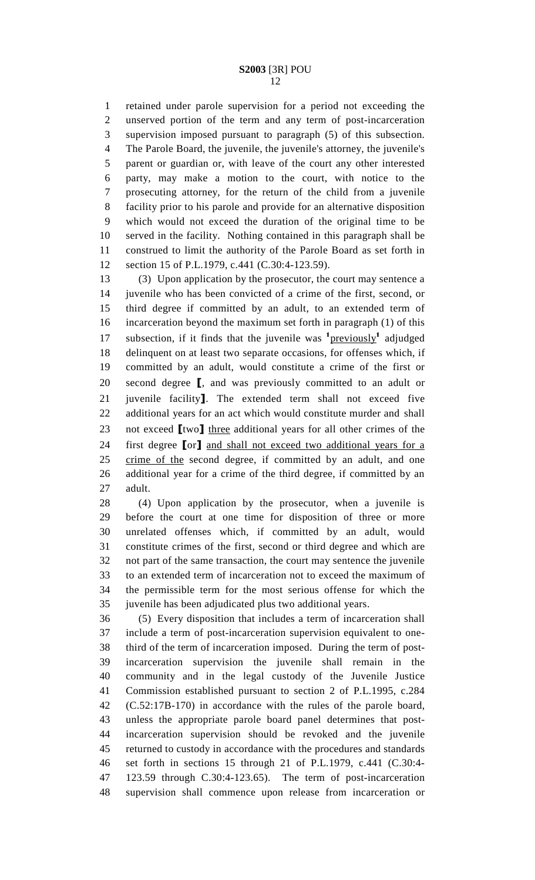1 retained under parole supervision for a period not exceeding the 2 unserved portion of the term and any term of post-incarceration 3 supervision imposed pursuant to paragraph (5) of this subsection. 4 The Parole Board, the juvenile, the juvenile's attorney, the juvenile's 5 parent or guardian or, with leave of the court any other interested 6 party, may make a motion to the court, with notice to the 7 prosecuting attorney, for the return of the child from a juvenile 8 facility prior to his parole and provide for an alternative disposition 9 which would not exceed the duration of the original time to be 10 served in the facility. Nothing contained in this paragraph shall be 11 construed to limit the authority of the Parole Board as set forth in 12 section 15 of P.L.1979, c.441 (C.30:4-123.59).

13 (3) Upon application by the prosecutor, the court may sentence a 14 juvenile who has been convicted of a crime of the first, second, or 15 third degree if committed by an adult, to an extended term of 16 incarceration beyond the maximum set forth in paragraph (1) of this 17 subsection, if it finds that the juvenile was  $1$  previously adjudged 18 delinquent on at least two separate occasions, for offenses which, if 19 committed by an adult, would constitute a crime of the first or 20 second degree [, and was previously committed to an adult or 21 juvenile facility]. The extended term shall not exceed five 22 additional years for an act which would constitute murder and shall 23 not exceed [two] three additional years for all other crimes of the 24 first degree [or] and shall not exceed two additional years for a 25 crime of the second degree, if committed by an adult, and one 26 additional year for a crime of the third degree, if committed by an 27 adult.

28 (4) Upon application by the prosecutor, when a juvenile is 29 before the court at one time for disposition of three or more 30 unrelated offenses which, if committed by an adult, would 31 constitute crimes of the first, second or third degree and which are 32 not part of the same transaction, the court may sentence the juvenile 33 to an extended term of incarceration not to exceed the maximum of 34 the permissible term for the most serious offense for which the 35 juvenile has been adjudicated plus two additional years.

36 (5) Every disposition that includes a term of incarceration shall 37 include a term of post-incarceration supervision equivalent to one-38 third of the term of incarceration imposed. During the term of post-39 incarceration supervision the juvenile shall remain in the 40 community and in the legal custody of the Juvenile Justice 41 Commission established pursuant to section 2 of P.L.1995, c.284 42 (C.52:17B-170) in accordance with the rules of the parole board, 43 unless the appropriate parole board panel determines that post-44 incarceration supervision should be revoked and the juvenile 45 returned to custody in accordance with the procedures and standards 46 set forth in sections 15 through 21 of P.L.1979, c.441 (C.30:4- 47 123.59 through C.30:4-123.65). The term of post-incarceration 48 supervision shall commence upon release from incarceration or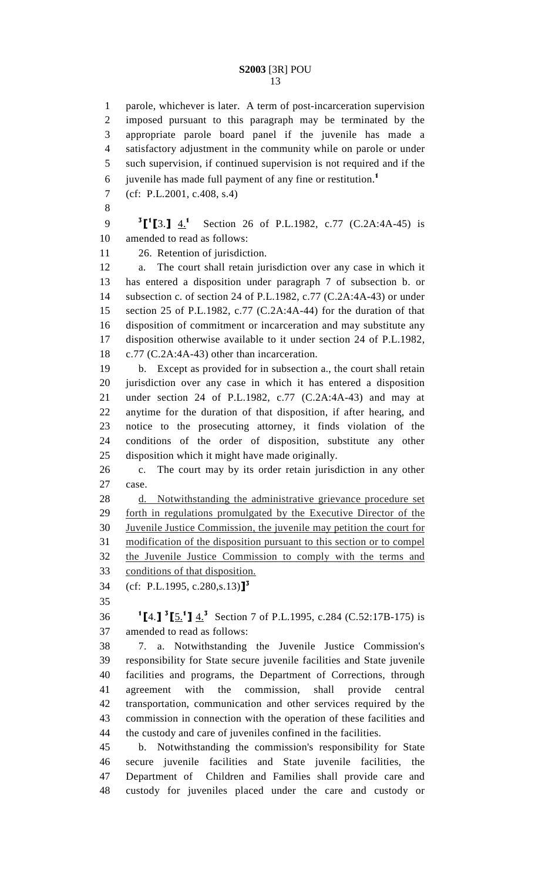1 parole, whichever is later. A term of post-incarceration supervision 2 imposed pursuant to this paragraph may be terminated by the 3 appropriate parole board panel if the juvenile has made a 4 satisfactory adjustment in the community while on parole or under 5 such supervision, if continued supervision is not required and if the 6 juvenile has made full payment of any fine or restitution.<sup>1</sup>

- 7 (cf: P.L.2001, c.408, s.4)
- 8

9  $\frac{3}{1}$  [1[3.]  $\frac{4}{1}$  Section 26 of P.L.1982, c.77 (C.2A:4A-45) is 10 amended to read as follows:

11 26. Retention of jurisdiction.

12 a. The court shall retain jurisdiction over any case in which it 13 has entered a disposition under paragraph 7 of subsection b. or 14 subsection c. of section 24 of P.L.1982, c.77 (C.2A:4A-43) or under 15 section 25 of P.L.1982, c.77 (C.2A:4A-44) for the duration of that 16 disposition of commitment or incarceration and may substitute any 17 disposition otherwise available to it under section 24 of P.L.1982, 18 c.77 (C.2A:4A-43) other than incarceration.

19 b. Except as provided for in subsection a., the court shall retain 20 jurisdiction over any case in which it has entered a disposition 21 under section 24 of P.L.1982, c.77 (C.2A:4A-43) and may at 22 anytime for the duration of that disposition, if after hearing, and 23 notice to the prosecuting attorney, it finds violation of the 24 conditions of the order of disposition, substitute any other 25 disposition which it might have made originally.

26 c. The court may by its order retain jurisdiction in any other 27 case.

28 d. Notwithstanding the administrative grievance procedure set 29 forth in regulations promulgated by the Executive Director of the 30 Juvenile Justice Commission, the juvenile may petition the court for 31 modification of the disposition pursuant to this section or to compel 32 the Juvenile Justice Commission to comply with the terms and 33 conditions of that disposition.

34 (cf: P.L.1995, c.280, s.13)<sup>3</sup>

35

36 **1[4.]**  ${}^{3}$ [5.<sup>1</sup>]  $4.{}^{3}$  Section 7 of P.L.1995, c.284 (C.52:17B-175) is 37 amended to read as follows:

38 7. a. Notwithstanding the Juvenile Justice Commission's 39 responsibility for State secure juvenile facilities and State juvenile 40 facilities and programs, the Department of Corrections, through 41 agreement with the commission, shall provide central 42 transportation, communication and other services required by the 43 commission in connection with the operation of these facilities and 44 the custody and care of juveniles confined in the facilities.

45 b. Notwithstanding the commission's responsibility for State 46 secure juvenile facilities and State juvenile facilities, the 47 Department of Children and Families shall provide care and 48 custody for juveniles placed under the care and custody or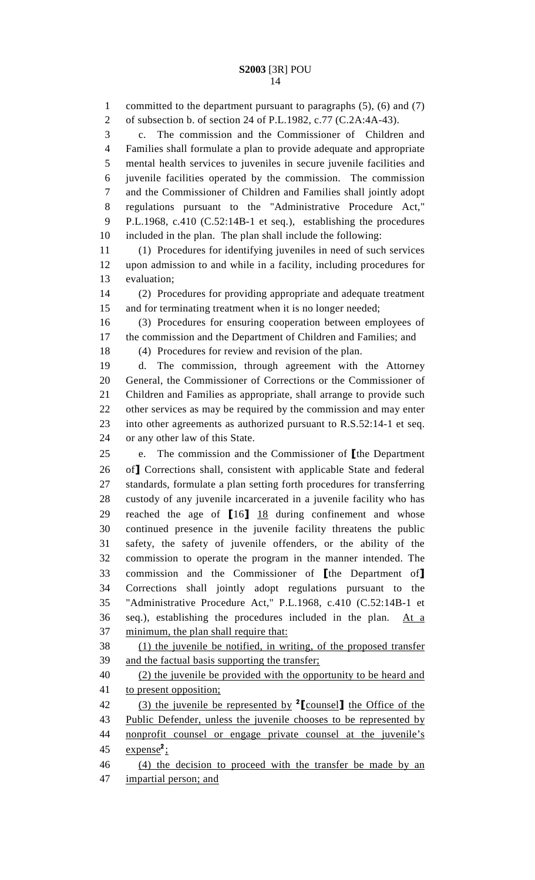1 committed to the department pursuant to paragraphs (5), (6) and (7) 2 of subsection b. of section 24 of P.L.1982, c.77 (C.2A:4A-43). 3 c. The commission and the Commissioner of Children and 4 Families shall formulate a plan to provide adequate and appropriate 5 mental health services to juveniles in secure juvenile facilities and 6 juvenile facilities operated by the commission. The commission 7 and the Commissioner of Children and Families shall jointly adopt 8 regulations pursuant to the "Administrative Procedure Act," 9 P.L.1968, c.410 (C.52:14B-1 et seq.), establishing the procedures 10 included in the plan. The plan shall include the following: 11 (1) Procedures for identifying juveniles in need of such services 12 upon admission to and while in a facility, including procedures for 13 evaluation; 14 (2) Procedures for providing appropriate and adequate treatment 15 and for terminating treatment when it is no longer needed; 16 (3) Procedures for ensuring cooperation between employees of 17 the commission and the Department of Children and Families; and 18 (4) Procedures for review and revision of the plan. 19 d. The commission, through agreement with the Attorney 20 General, the Commissioner of Corrections or the Commissioner of 21 Children and Families as appropriate, shall arrange to provide such 22 other services as may be required by the commission and may enter 23 into other agreements as authorized pursuant to R.S.52:14-1 et seq. 24 or any other law of this State. 25 e. The commission and the Commissioner of [the Department 26 of] Corrections shall, consistent with applicable State and federal 27 standards, formulate a plan setting forth procedures for transferring 28 custody of any juvenile incarcerated in a juvenile facility who has 29 reached the age of  $[16]$   $18$  during confinement and whose 30 continued presence in the juvenile facility threatens the public 31 safety, the safety of juvenile offenders, or the ability of the 32 commission to operate the program in the manner intended. The 33 commission and the Commissioner of [the Department of] 34 Corrections shall jointly adopt regulations pursuant to the 35 "Administrative Procedure Act," P.L.1968, c.410 (C.52:14B-1 et 36 seq.), establishing the procedures included in the plan. At a 37 minimum, the plan shall require that: 38 (1) the juvenile be notified, in writing, of the proposed transfer 39 and the factual basis supporting the transfer; 40 (2) the juvenile be provided with the opportunity to be heard and 41 to present opposition; 42 (3) the juvenile be represented by  $2$  [counsel] the Office of the 43 Public Defender, unless the juvenile chooses to be represented by 44 nonprofit counsel or engage private counsel at the juvenile's 45  $expense<sup>2</sup>$ ; 46 (4) the decision to proceed with the transfer be made by an 47 impartial person; and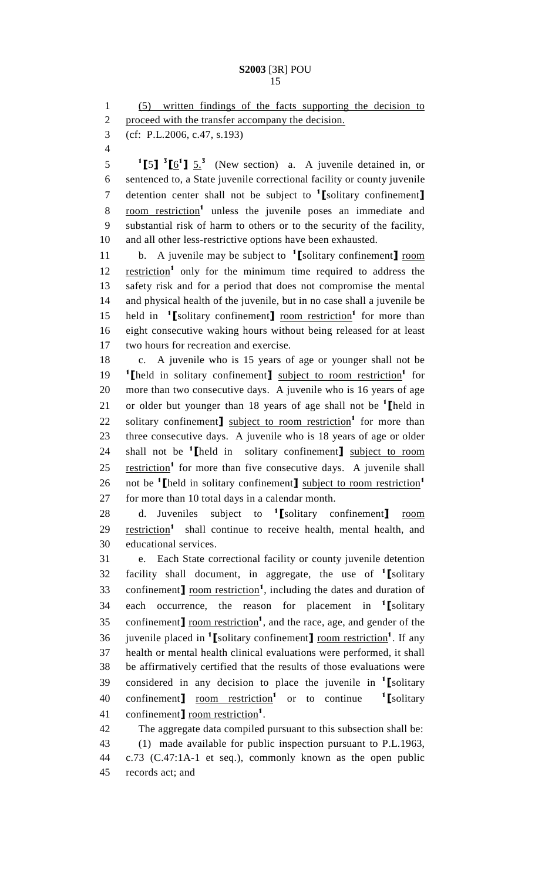1 (5) written findings of the facts supporting the decision to 2 proceed with the transfer accompany the decision.

- 3 (cf: P.L.2006, c.47, s.193)
- 4

5  $\frac{15}{15}$   $\frac{1}{6}$   $\frac{1}{5}$   $\frac{5}{3}$  (New section) a. A juvenile detained in, or 6 sentenced to, a State juvenile correctional facility or county juvenile 7 detention center shall not be subject to  $\text{I}\left[\text{solitary confinement}\right]$ 8 room restriction<sup>1</sup> unless the juvenile poses an immediate and 9 substantial risk of harm to others or to the security of the facility, 10 and all other less-restrictive options have been exhausted.

11 b. A juvenile may be subject to  $\text{!}$  [solitary confinement] room 12 restriction<sup>1</sup> only for the minimum time required to address the 13 safety risk and for a period that does not compromise the mental 14 and physical health of the juvenile, but in no case shall a juvenile be 15 held in  $\textbf{1}$  [solitary confinement] room restriction<sup>1</sup> for more than 16 eight consecutive waking hours without being released for at least 17 two hours for recreation and exercise.

18 c. A juvenile who is 15 years of age or younger shall not be 19 <sup>1</sup>[held in solitary confinement] subject to room restriction<sup>1</sup> for 20 more than two consecutive days. A juvenile who is 16 years of age 21 or older but younger than 18 years of age shall not be  $^1$ [held in 22 solitary confinement] subject to room restriction<sup>1</sup> for more than 23 three consecutive days. A juvenile who is 18 years of age or older 24 shall not be  $\textsuperscript{1}$  [held in solitary confinement] subject to room  $25$  restriction<sup>1</sup> for more than five consecutive days. A juvenile shall 26 not be <sup>1</sup>I held in solitary confinement] subject to room restriction<sup>1</sup> 27 for more than 10 total days in a calendar month.

28 d. Juveniles subject to  $\text{I}$  solitary confinement  $\text{I}$  room 29 restriction<sup>1</sup> shall continue to receive health, mental health, and 30 educational services.

31 e. Each State correctional facility or county juvenile detention 32 facility shall document, in aggregate, the use of  $\textbf{1}$  solitary 33 confinement]  $\frac{1}{2}$  room restriction<sup>1</sup>, including the dates and duration of 34 each occurrence, the reason for placement in  $\textsf{I}_s$  [solitary 35 confinement] room restriction<sup>1</sup>, and the race, age, and gender of the 36 juvenile placed in <sup>1</sup> [solitary confinement] <u>room restriction</u><sup>1</sup>. If any 37 health or mental health clinical evaluations were performed, it shall 38 be affirmatively certified that the results of those evaluations were 39 considered in any decision to place the juvenile in  $\textsf{I}_s$  [solitary 40 confinement] room restriction<sup>1</sup> or to continue <sup>1</sup>[solitary 41 confinement] room restriction<sup>1</sup>.

42 The aggregate data compiled pursuant to this subsection shall be: 43 (1) made available for public inspection pursuant to P.L.1963, 44 c.73 (C.47:1A-1 et seq.), commonly known as the open public 45 records act; and